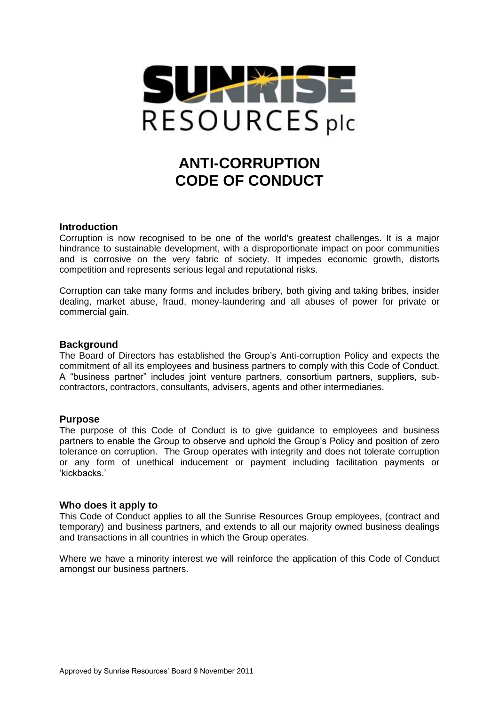

# **ANTI-CORRUPTION CODE OF CONDUCT**

# **Introduction**

Corruption is now recognised to be one of the world's greatest challenges. It is a major hindrance to sustainable development, with a disproportionate impact on poor communities and is corrosive on the very fabric of society. It impedes economic growth, distorts competition and represents serious legal and reputational risks.

Corruption can take many forms and includes bribery, both giving and taking bribes, insider dealing, market abuse, fraud, money-laundering and all abuses of power for private or commercial gain.

## **Background**

The Board of Directors has established the Group's Anti-corruption Policy and expects the commitment of all its employees and business partners to comply with this Code of Conduct. A "business partner" includes joint venture partners, consortium partners, suppliers, subcontractors, contractors, consultants, advisers, agents and other intermediaries.

# **Purpose**

The purpose of this Code of Conduct is to give guidance to employees and business partners to enable the Group to observe and uphold the Group's Policy and position of zero tolerance on corruption. The Group operates with integrity and does not tolerate corruption or any form of unethical inducement or payment including facilitation payments or 'kickbacks.'

## **Who does it apply to**

This Code of Conduct applies to all the Sunrise Resources Group employees, (contract and temporary) and business partners, and extends to all our majority owned business dealings and transactions in all countries in which the Group operates.

Where we have a minority interest we will reinforce the application of this Code of Conduct amongst our business partners.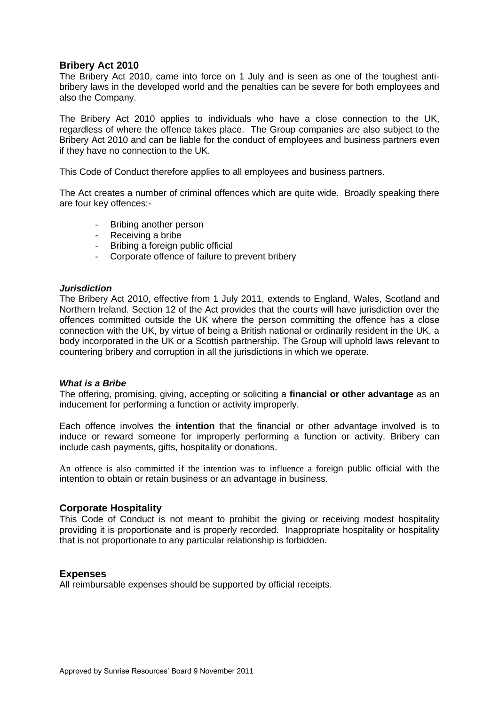# **Bribery Act 2010**

The Bribery Act 2010, came into force on 1 July and is seen as one of the toughest antibribery laws in the developed world and the penalties can be severe for both employees and also the Company.

The Bribery Act 2010 applies to individuals who have a close connection to the UK, regardless of where the offence takes place. The Group companies are also subject to the Bribery Act 2010 and can be liable for the conduct of employees and business partners even if they have no connection to the UK.

This Code of Conduct therefore applies to all employees and business partners.

The Act creates a number of criminal offences which are quite wide. Broadly speaking there are four key offences:-

- Bribing another person
- Receiving a bribe
- Bribing a foreign public official
- Corporate offence of failure to prevent bribery

#### *Jurisdiction*

The Bribery Act 2010, effective from 1 July 2011, extends to England, Wales, Scotland and Northern Ireland. Section 12 of the Act provides that the courts will have jurisdiction over the offences committed outside the UK where the person committing the offence has a close connection with the UK, by virtue of being a British national or ordinarily resident in the UK, a body incorporated in the UK or a Scottish partnership. The Group will uphold laws relevant to countering bribery and corruption in all the jurisdictions in which we operate.

## *What is a Bribe*

The offering, promising, giving, accepting or soliciting a **financial or other advantage** as an inducement for performing a function or activity improperly.

Each offence involves the **intention** that the financial or other advantage involved is to induce or reward someone for improperly performing a function or activity. Bribery can include cash payments, gifts, hospitality or donations.

An offence is also committed if the intention was to influence a foreign public official with the intention to obtain or retain business or an advantage in business.

## **Corporate Hospitality**

This Code of Conduct is not meant to prohibit the giving or receiving modest hospitality providing it is proportionate and is properly recorded. Inappropriate hospitality or hospitality that is not proportionate to any particular relationship is forbidden.

## **Expenses**

All reimbursable expenses should be supported by official receipts.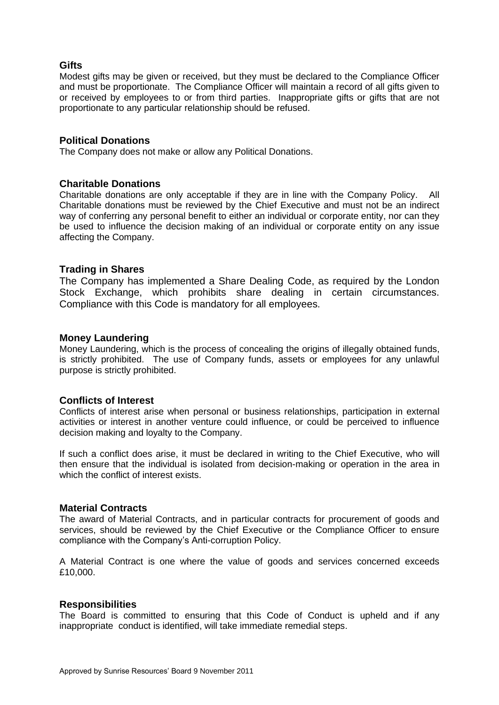# **Gifts**

Modest gifts may be given or received, but they must be declared to the Compliance Officer and must be proportionate. The Compliance Officer will maintain a record of all gifts given to or received by employees to or from third parties. Inappropriate gifts or gifts that are not proportionate to any particular relationship should be refused.

## **Political Donations**

The Company does not make or allow any Political Donations.

## **Charitable Donations**

Charitable donations are only acceptable if they are in line with the Company Policy. All Charitable donations must be reviewed by the Chief Executive and must not be an indirect way of conferring any personal benefit to either an individual or corporate entity, nor can they be used to influence the decision making of an individual or corporate entity on any issue affecting the Company.

## **Trading in Shares**

The Company has implemented a Share Dealing Code, as required by the London Stock Exchange, which prohibits share dealing in certain circumstances. Compliance with this Code is mandatory for all employees.

## **Money Laundering**

Money Laundering, which is the process of concealing the origins of illegally obtained funds, is strictly prohibited. The use of Company funds, assets or employees for any unlawful purpose is strictly prohibited.

## **Conflicts of Interest**

Conflicts of interest arise when personal or business relationships, participation in external activities or interest in another venture could influence, or could be perceived to influence decision making and loyalty to the Company.

If such a conflict does arise, it must be declared in writing to the Chief Executive, who will then ensure that the individual is isolated from decision-making or operation in the area in which the conflict of interest exists.

## **Material Contracts**

The award of Material Contracts, and in particular contracts for procurement of goods and services, should be reviewed by the Chief Executive or the Compliance Officer to ensure compliance with the Company's Anti-corruption Policy.

A Material Contract is one where the value of goods and services concerned exceeds £10,000.

## **Responsibilities**

The Board is committed to ensuring that this Code of Conduct is upheld and if any inappropriate conduct is identified, will take immediate remedial steps.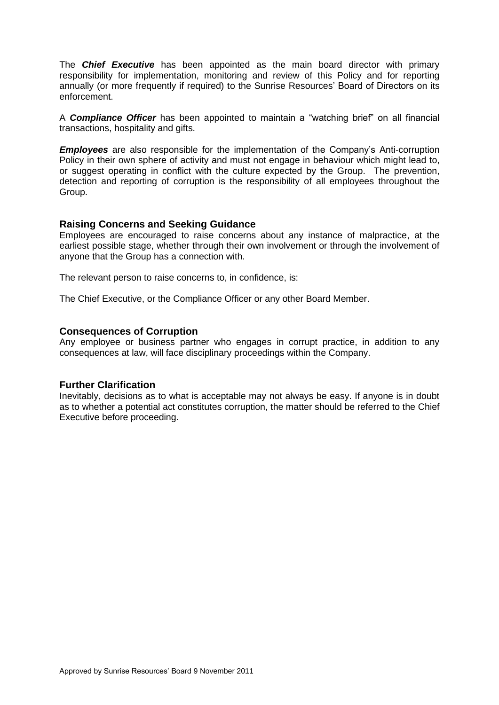The *Chief Executive* has been appointed as the main board director with primary responsibility for implementation, monitoring and review of this Policy and for reporting annually (or more frequently if required) to the Sunrise Resources' Board of Directors on its enforcement.

A *Compliance Officer* has been appointed to maintain a "watching brief" on all financial transactions, hospitality and gifts.

*Employees* are also responsible for the implementation of the Company's Anti-corruption Policy in their own sphere of activity and must not engage in behaviour which might lead to, or suggest operating in conflict with the culture expected by the Group. The prevention, detection and reporting of corruption is the responsibility of all employees throughout the Group.

## **Raising Concerns and Seeking Guidance**

Employees are encouraged to raise concerns about any instance of malpractice, at the earliest possible stage, whether through their own involvement or through the involvement of anyone that the Group has a connection with.

The relevant person to raise concerns to, in confidence, is:

The Chief Executive, or the Compliance Officer or any other Board Member.

## **Consequences of Corruption**

Any employee or business partner who engages in corrupt practice, in addition to any consequences at law, will face disciplinary proceedings within the Company.

## **Further Clarification**

Inevitably, decisions as to what is acceptable may not always be easy. If anyone is in doubt as to whether a potential act constitutes corruption, the matter should be referred to the Chief Executive before proceeding.